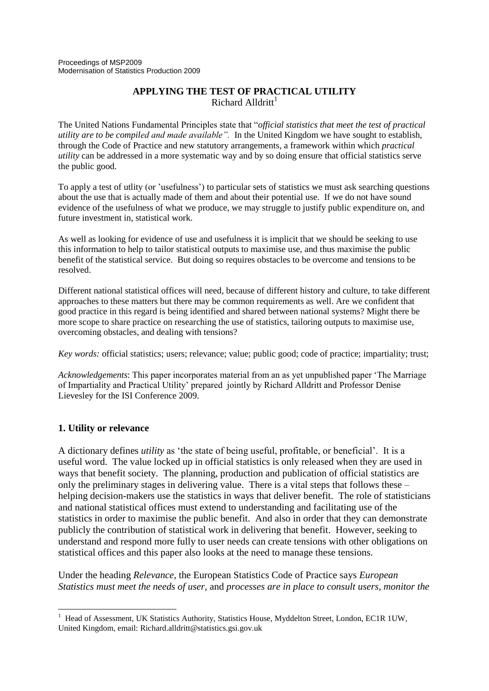### **APPLYING THE TEST OF PRACTICAL UTILITY** Richard Alldritt<sup>1</sup>

The United Nations Fundamental Principles state that "*official statistics that meet the test of practical utility are to be compiled and made available".* In the United Kingdom we have sought to establish, through the Code of Practice and new statutory arrangements, a framework within which *practical utility* can be addressed in a more systematic way and by so doing ensure that official statistics serve the public good.

To apply a test of utlity (or "usefulness") to particular sets of statistics we must ask searching questions about the use that is actually made of them and about their potential use. If we do not have sound evidence of the usefulness of what we produce, we may struggle to justify public expenditure on, and future investment in, statistical work.

As well as looking for evidence of use and usefulness it is implicit that we should be seeking to use this information to help to tailor statistical outputs to maximise use, and thus maximise the public benefit of the statistical service. But doing so requires obstacles to be overcome and tensions to be resolved.

Different national statistical offices will need, because of different history and culture, to take different approaches to these matters but there may be common requirements as well. Are we confident that good practice in this regard is being identified and shared between national systems? Might there be more scope to share practice on researching the use of statistics, tailoring outputs to maximise use, overcoming obstacles, and dealing with tensions?

*Key words:* official statistics; users; relevance; value; public good; code of practice; impartiality; trust;

*Acknowledgements*: This paper incorporates material from an as yet unpublished paper "The Marriage of Impartiality and Practical Utility" prepared jointly by Richard Alldritt and Professor Denise Lievesley for the ISI Conference 2009.

# **1. Utility or relevance**

A dictionary defines *utility* as "the state of being useful, profitable, or beneficial". It is a useful word. The value locked up in official statistics is only released when they are used in ways that benefit society. The planning, production and publication of official statistics are only the preliminary stages in delivering value. There is a vital steps that follows these – helping decision-makers use the statistics in ways that deliver benefit. The role of statisticians and national statistical offices must extend to understanding and facilitating use of the statistics in order to maximise the public benefit. And also in order that they can demonstrate publicly the contribution of statistical work in delivering that benefit. However, seeking to understand and respond more fully to user needs can create tensions with other obligations on statistical offices and this paper also looks at the need to manage these tensions.

Under the heading *Relevance*, the European Statistics Code of Practice says *European Statistics must meet the needs of user,* and *processes are in place to consult users, monitor the* 

 $\overline{a}$  $1$  Head of Assessment, UK Statistics Authority, Statistics House, Myddelton Street, London, EC1R 1UW, United Kingdom, email: Richard.alldritt@statistics.gsi.gov.uk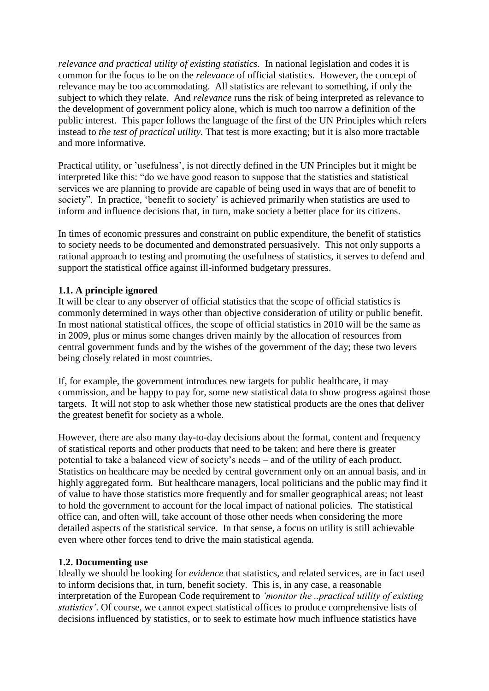*relevance and practical utility of existing statistics*. In national legislation and codes it is common for the focus to be on the *relevance* of official statistics. However, the concept of relevance may be too accommodating. All statistics are relevant to something, if only the subject to which they relate. And *relevance* runs the risk of being interpreted as relevance to the development of government policy alone, which is much too narrow a definition of the public interest. This paper follows the language of the first of the UN Principles which refers instead to *the test of practical utility.* That test is more exacting; but it is also more tractable and more informative.

Practical utility, or "usefulness", is not directly defined in the UN Principles but it might be interpreted like this: "do we have good reason to suppose that the statistics and statistical services we are planning to provide are capable of being used in ways that are of benefit to society". In practice, 'benefit to society' is achieved primarily when statistics are used to inform and influence decisions that, in turn, make society a better place for its citizens.

In times of economic pressures and constraint on public expenditure, the benefit of statistics to society needs to be documented and demonstrated persuasively. This not only supports a rational approach to testing and promoting the usefulness of statistics, it serves to defend and support the statistical office against ill-informed budgetary pressures.

# **1.1. A principle ignored**

It will be clear to any observer of official statistics that the scope of official statistics is commonly determined in ways other than objective consideration of utility or public benefit. In most national statistical offices, the scope of official statistics in 2010 will be the same as in 2009, plus or minus some changes driven mainly by the allocation of resources from central government funds and by the wishes of the government of the day; these two levers being closely related in most countries.

If, for example, the government introduces new targets for public healthcare, it may commission, and be happy to pay for, some new statistical data to show progress against those targets. It will not stop to ask whether those new statistical products are the ones that deliver the greatest benefit for society as a whole.

However, there are also many day-to-day decisions about the format, content and frequency of statistical reports and other products that need to be taken; and here there is greater potential to take a balanced view of society"s needs – and of the utility of each product. Statistics on healthcare may be needed by central government only on an annual basis, and in highly aggregated form. But healthcare managers, local politicians and the public may find it of value to have those statistics more frequently and for smaller geographical areas; not least to hold the government to account for the local impact of national policies. The statistical office can, and often will, take account of those other needs when considering the more detailed aspects of the statistical service. In that sense, a focus on utility is still achievable even where other forces tend to drive the main statistical agenda.

### **1.2. Documenting use**

Ideally we should be looking for *evidence* that statistics, and related services, are in fact used to inform decisions that, in turn, benefit society. This is, in any case, a reasonable interpretation of the European Code requirement to *'monitor the ..practical utility of existing statistics'*. Of course, we cannot expect statistical offices to produce comprehensive lists of decisions influenced by statistics, or to seek to estimate how much influence statistics have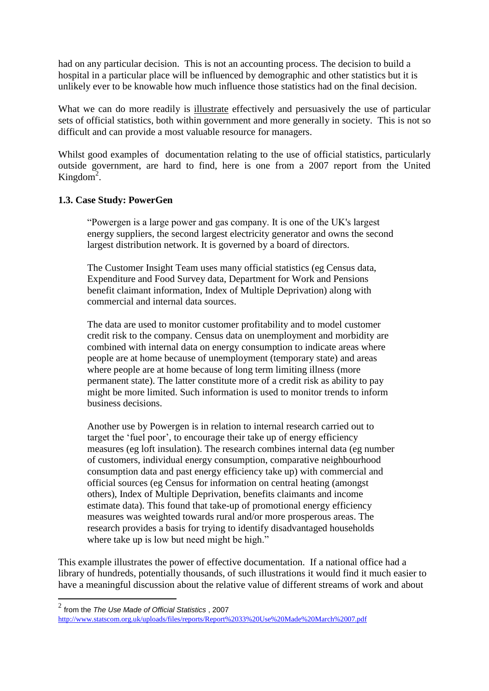had on any particular decision. This is not an accounting process. The decision to build a hospital in a particular place will be influenced by demographic and other statistics but it is unlikely ever to be knowable how much influence those statistics had on the final decision.

What we can do more readily is illustrate effectively and persuasively the use of particular sets of official statistics, both within government and more generally in society. This is not so difficult and can provide a most valuable resource for managers.

Whilst good examples of documentation relating to the use of official statistics, particularly outside government, are hard to find, here is one from a 2007 report from the United Kingdom<sup>2</sup>.

# **1.3. Case Study: PowerGen**

"Powergen is a large power and gas company. It is one of the UK's largest energy suppliers, the second largest electricity generator and owns the second largest distribution network. It is governed by a board of directors.

The Customer Insight Team uses many official statistics (eg Census data, Expenditure and Food Survey data, Department for Work and Pensions benefit claimant information, Index of Multiple Deprivation) along with commercial and internal data sources.

The data are used to monitor customer profitability and to model customer credit risk to the company. Census data on unemployment and morbidity are combined with internal data on energy consumption to indicate areas where people are at home because of unemployment (temporary state) and areas where people are at home because of long term limiting illness (more permanent state). The latter constitute more of a credit risk as ability to pay might be more limited. Such information is used to monitor trends to inform business decisions.

Another use by Powergen is in relation to internal research carried out to target the "fuel poor", to encourage their take up of energy efficiency measures (eg loft insulation). The research combines internal data (eg number of customers, individual energy consumption, comparative neighbourhood consumption data and past energy efficiency take up) with commercial and official sources (eg Census for information on central heating (amongst others), Index of Multiple Deprivation, benefits claimants and income estimate data). This found that take-up of promotional energy efficiency measures was weighted towards rural and/or more prosperous areas. The research provides a basis for trying to identify disadvantaged households where take up is low but need might be high."

This example illustrates the power of effective documentation. If a national office had a library of hundreds, potentially thousands, of such illustrations it would find it much easier to have a meaningful discussion about the relative value of different streams of work and about

 $\overline{a}$ 

<sup>2</sup> from the *The Use Made of Official Statistics* , 2007

<http://www.statscom.org.uk/uploads/files/reports/Report%2033%20Use%20Made%20March%2007.pdf>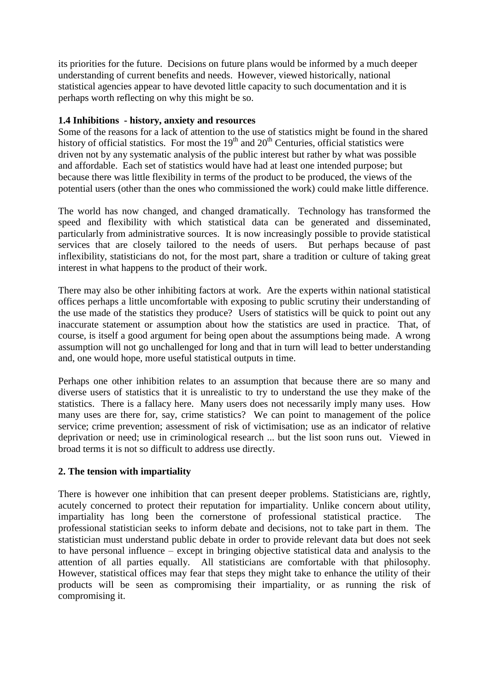its priorities for the future. Decisions on future plans would be informed by a much deeper understanding of current benefits and needs. However, viewed historically, national statistical agencies appear to have devoted little capacity to such documentation and it is perhaps worth reflecting on why this might be so.

### **1.4 Inhibitions - history, anxiety and resources**

Some of the reasons for a lack of attention to the use of statistics might be found in the shared history of official statistics. For most the  $19<sup>th</sup>$  and  $20<sup>th</sup>$  Centuries, official statistics were driven not by any systematic analysis of the public interest but rather by what was possible and affordable. Each set of statistics would have had at least one intended purpose; but because there was little flexibility in terms of the product to be produced, the views of the potential users (other than the ones who commissioned the work) could make little difference.

The world has now changed, and changed dramatically. Technology has transformed the speed and flexibility with which statistical data can be generated and disseminated, particularly from administrative sources. It is now increasingly possible to provide statistical services that are closely tailored to the needs of users. But perhaps because of past inflexibility, statisticians do not, for the most part, share a tradition or culture of taking great interest in what happens to the product of their work.

There may also be other inhibiting factors at work. Are the experts within national statistical offices perhaps a little uncomfortable with exposing to public scrutiny their understanding of the use made of the statistics they produce? Users of statistics will be quick to point out any inaccurate statement or assumption about how the statistics are used in practice. That, of course, is itself a good argument for being open about the assumptions being made. A wrong assumption will not go unchallenged for long and that in turn will lead to better understanding and, one would hope, more useful statistical outputs in time.

Perhaps one other inhibition relates to an assumption that because there are so many and diverse users of statistics that it is unrealistic to try to understand the use they make of the statistics. There is a fallacy here. Many users does not necessarily imply many uses. How many uses are there for, say, crime statistics? We can point to management of the police service; crime prevention; assessment of risk of victimisation; use as an indicator of relative deprivation or need; use in criminological research ... but the list soon runs out. Viewed in broad terms it is not so difficult to address use directly.

# **2. The tension with impartiality**

There is however one inhibition that can present deeper problems. Statisticians are, rightly, acutely concerned to protect their reputation for impartiality. Unlike concern about utility, impartiality has long been the cornerstone of professional statistical practice. The professional statistician seeks to inform debate and decisions, not to take part in them. The statistician must understand public debate in order to provide relevant data but does not seek to have personal influence – except in bringing objective statistical data and analysis to the attention of all parties equally. All statisticians are comfortable with that philosophy. However, statistical offices may fear that steps they might take to enhance the utility of their products will be seen as compromising their impartiality, or as running the risk of compromising it.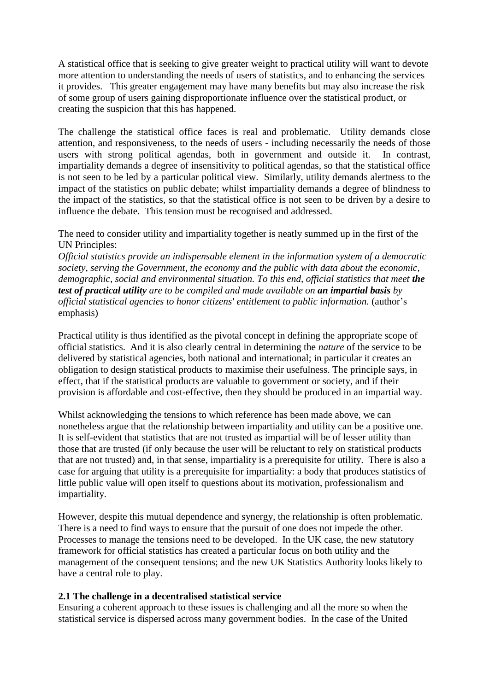A statistical office that is seeking to give greater weight to practical utility will want to devote more attention to understanding the needs of users of statistics, and to enhancing the services it provides. This greater engagement may have many benefits but may also increase the risk of some group of users gaining disproportionate influence over the statistical product, or creating the suspicion that this has happened.

The challenge the statistical office faces is real and problematic. Utility demands close attention, and responsiveness, to the needs of users - including necessarily the needs of those users with strong political agendas, both in government and outside it. In contrast, impartiality demands a degree of insensitivity to political agendas, so that the statistical office is not seen to be led by a particular political view. Similarly, utility demands alertness to the impact of the statistics on public debate; whilst impartiality demands a degree of blindness to the impact of the statistics, so that the statistical office is not seen to be driven by a desire to influence the debate. This tension must be recognised and addressed.

The need to consider utility and impartiality together is neatly summed up in the first of the UN Principles:

*Official statistics provide an indispensable element in the information system of a democratic society, serving the Government, the economy and the public with data about the economic, demographic, social and environmental situation. To this end, official statistics that meet the test of practical utility are to be compiled and made available on an impartial basis by official statistical agencies to honor citizens' entitlement to public information.* (author"s emphasis)

Practical utility is thus identified as the pivotal concept in defining the appropriate scope of official statistics. And it is also clearly central in determining the *nature* of the service to be delivered by statistical agencies, both national and international; in particular it creates an obligation to design statistical products to maximise their usefulness. The principle says, in effect, that if the statistical products are valuable to government or society, and if their provision is affordable and cost-effective, then they should be produced in an impartial way.

Whilst acknowledging the tensions to which reference has been made above, we can nonetheless argue that the relationship between impartiality and utility can be a positive one. It is self-evident that statistics that are not trusted as impartial will be of lesser utility than those that are trusted (if only because the user will be reluctant to rely on statistical products that are not trusted) and, in that sense, impartiality is a prerequisite for utility. There is also a case for arguing that utility is a prerequisite for impartiality: a body that produces statistics of little public value will open itself to questions about its motivation, professionalism and impartiality.

However, despite this mutual dependence and synergy, the relationship is often problematic. There is a need to find ways to ensure that the pursuit of one does not impede the other. Processes to manage the tensions need to be developed. In the UK case, the new statutory framework for official statistics has created a particular focus on both utility and the management of the consequent tensions; and the new UK Statistics Authority looks likely to have a central role to play.

### **2.1 The challenge in a decentralised statistical service**

Ensuring a coherent approach to these issues is challenging and all the more so when the statistical service is dispersed across many government bodies. In the case of the United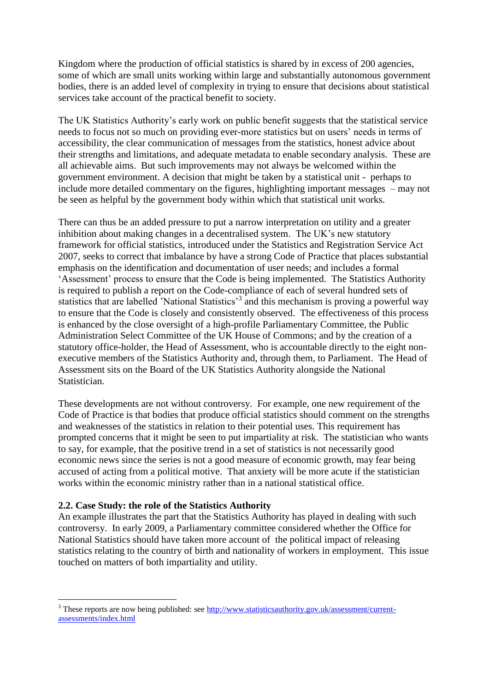Kingdom where the production of official statistics is shared by in excess of 200 agencies, some of which are small units working within large and substantially autonomous government bodies, there is an added level of complexity in trying to ensure that decisions about statistical services take account of the practical benefit to society.

The UK Statistics Authority's early work on public benefit suggests that the statistical service needs to focus not so much on providing ever-more statistics but on users' needs in terms of accessibility, the clear communication of messages from the statistics, honest advice about their strengths and limitations, and adequate metadata to enable secondary analysis. These are all achievable aims.But such improvements may not always be welcomed within the government environment. A decision that might be taken by a statistical unit - perhaps to include more detailed commentary on the figures, highlighting important messages – may not be seen as helpful by the government body within which that statistical unit works.

There can thus be an added pressure to put a narrow interpretation on utility and a greater inhibition about making changes in a decentralised system. The UK's new statutory framework for official statistics, introduced under the Statistics and Registration Service Act 2007, seeks to correct that imbalance by have a strong Code of Practice that places substantial emphasis on the identification and documentation of user needs; and includes a formal 'Assessment' process to ensure that the Code is being implemented. The Statistics Authority is required to publish a report on the Code-compliance of each of several hundred sets of statistics that are labelled 'National Statistics'<sup>3</sup> and this mechanism is proving a powerful way to ensure that the Code is closely and consistently observed. The effectiveness of this process is enhanced by the close oversight of a high-profile Parliamentary Committee, the Public Administration Select Committee of the UK House of Commons; and by the creation of a statutory office-holder, the Head of Assessment, who is accountable directly to the eight nonexecutive members of the Statistics Authority and, through them, to Parliament. The Head of Assessment sits on the Board of the UK Statistics Authority alongside the National Statistician.

These developments are not without controversy. For example, one new requirement of the Code of Practice is that bodies that produce official statistics should comment on the strengths and weaknesses of the statistics in relation to their potential uses. This requirement has prompted concerns that it might be seen to put impartiality at risk. The statistician who wants to say, for example, that the positive trend in a set of statistics is not necessarily good economic news since the series is not a good measure of economic growth, may fear being accused of acting from a political motive. That anxiety will be more acute if the statistician works within the economic ministry rather than in a national statistical office.

# **2.2. Case Study: the role of the Statistics Authority**

 $\overline{a}$ 

An example illustrates the part that the Statistics Authority has played in dealing with such controversy. In early 2009, a Parliamentary committee considered whether the Office for National Statistics should have taken more account of the political impact of releasing statistics relating to the country of birth and nationality of workers in employment. This issue touched on matters of both impartiality and utility.

<sup>&</sup>lt;sup>3</sup> These reports are now being published: see [http://www.statisticsauthority.gov.uk/assessment/current](http://www.statisticsauthority.gov.uk/assessment/current-assessments/index.html)[assessments/index.html](http://www.statisticsauthority.gov.uk/assessment/current-assessments/index.html)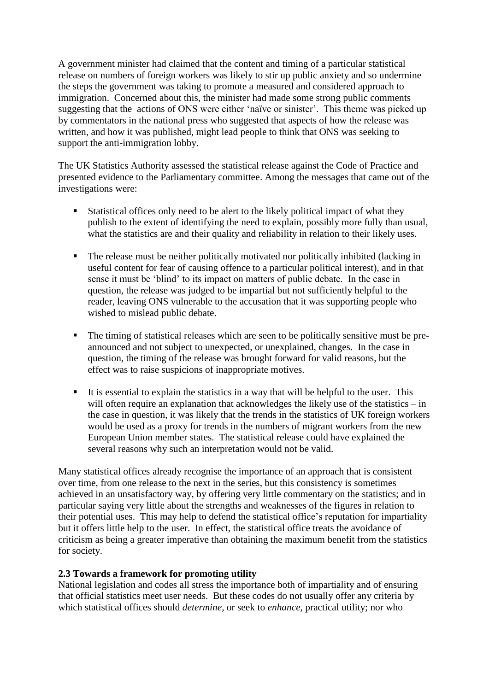A government minister had claimed that the content and timing of a particular statistical release on numbers of foreign workers was likely to stir up public anxiety and so undermine the steps the government was taking to promote a measured and considered approach to immigration. Concerned about this, the minister had made some strong public comments suggesting that the actions of ONS were either 'naïve or sinister'. This theme was picked up by commentators in the national press who suggested that aspects of how the release was written, and how it was published, might lead people to think that ONS was seeking to support the anti-immigration lobby.

The UK Statistics Authority assessed the statistical release against the Code of Practice and presented evidence to the Parliamentary committee. Among the messages that came out of the investigations were:

- Statistical offices only need to be alert to the likely political impact of what they publish to the extent of identifying the need to explain, possibly more fully than usual, what the statistics are and their quality and reliability in relation to their likely uses.
- The release must be neither politically motivated nor politically inhibited (lacking in useful content for fear of causing offence to a particular political interest), and in that sense it must be "blind" to its impact on matters of public debate. In the case in question, the release was judged to be impartial but not sufficiently helpful to the reader, leaving ONS vulnerable to the accusation that it was supporting people who wished to mislead public debate.
- The timing of statistical releases which are seen to be politically sensitive must be preannounced and not subject to unexpected, or unexplained, changes. In the case in question, the timing of the release was brought forward for valid reasons, but the effect was to raise suspicions of inappropriate motives.
- $\blacksquare$  It is essential to explain the statistics in a way that will be helpful to the user. This will often require an explanation that acknowledges the likely use of the statistics – in the case in question, it was likely that the trends in the statistics of UK foreign workers would be used as a proxy for trends in the numbers of migrant workers from the new European Union member states. The statistical release could have explained the several reasons why such an interpretation would not be valid.

Many statistical offices already recognise the importance of an approach that is consistent over time, from one release to the next in the series, but this consistency is sometimes achieved in an unsatisfactory way, by offering very little commentary on the statistics; and in particular saying very little about the strengths and weaknesses of the figures in relation to their potential uses. This may help to defend the statistical office"s reputation for impartiality but it offers little help to the user. In effect, the statistical office treats the avoidance of criticism as being a greater imperative than obtaining the maximum benefit from the statistics for society.

# **2.3 Towards a framework for promoting utility**

National legislation and codes all stress the importance both of impartiality and of ensuring that official statistics meet user needs. But these codes do not usually offer any criteria by which statistical offices should *determine*, or seek to *enhance*, practical utility; nor who